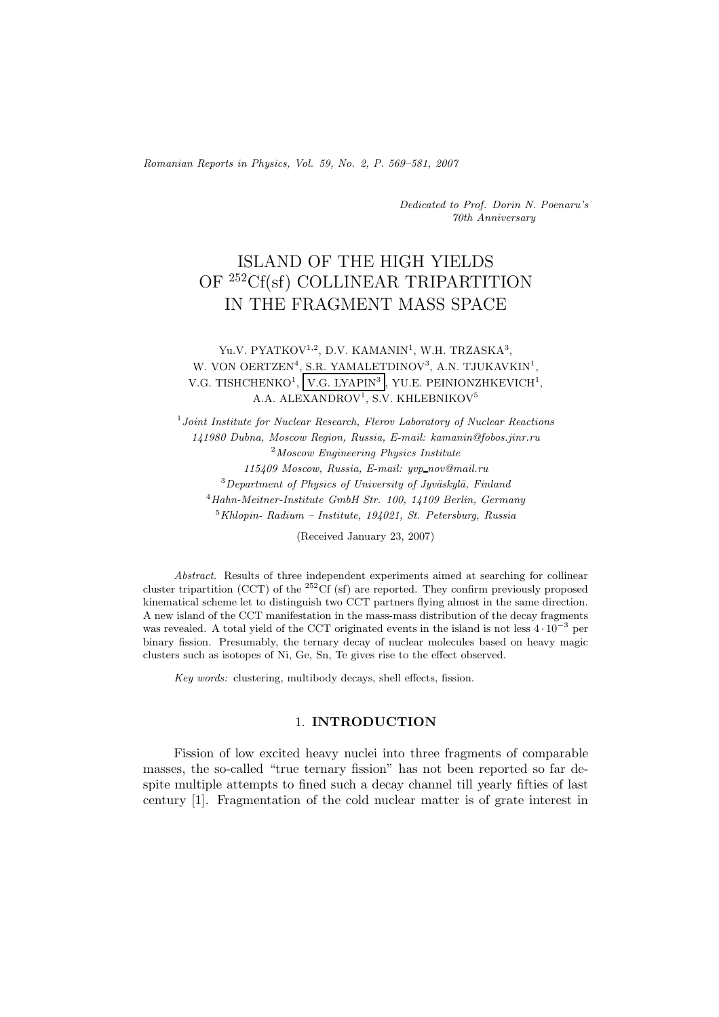Romanian Reports in Physics, Vol. 59, No. 2, P. 569–581, 2007

Dedicated to Prof. Dorin N. Poenaru's 70th Anniversary

# ISLAND OF THE HIGH YIELDS OF <sup>252</sup>Cf(sf) COLLINEAR TRIPARTITION IN THE FRAGMENT MASS SPACE

# Yu.V. PYATKOV<sup>1,2</sup>, D.V. KAMANIN<sup>1</sup>, W.H. TRZASKA<sup>3</sup>, W. VON OERTZEN<sup>4</sup>, S.R. YAMALETDINOV<sup>3</sup>, A.N. TJUKAVKIN<sup>1</sup>, V.G. TISHCHENKO<sup>1</sup>, V.G. LYAPIN<sup>3</sup> , YU.E. PEINIONZHKEVICH<sup>1</sup>, A.A. ALEXANDROV<sup>1</sup>, S.V. KHLEBNIKOV<sup>5</sup>

 $1$  Joint Institute for Nuclear Research, Flerov Laboratory of Nuclear Reactions 141980 Dubna, Moscow Region, Russia, E-mail: kamanin@fobos.jinr.ru <sup>2</sup>Moscow Engineering Physics Institute 115409 Moscow, Russia, E-mail: yvp nov@mail.ru  $3$ Department of Physics of University of Jyväskylä, Finland  $^{4}$ Hahn-Meitner-Institute GmbH Str. 100, 14109 Berlin, Germany  $5$ Khlopin- Radium – Institute, 194021, St. Petersburg, Russia

(Received January 23, 2007)

Abstract. Results of three independent experiments aimed at searching for collinear cluster tripartition (CCT) of the <sup>252</sup>Cf (sf) are reported. They confirm previously proposed kinematical scheme let to distinguish two CCT partners flying almost in the same direction. A new island of the CCT manifestation in the mass-mass distribution of the decay fragments was revealed. A total yield of the CCT originated events in the island is not less 4 *·* <sup>10</sup>−<sup>3</sup> per binary fission. Presumably, the ternary decay of nuclear molecules based on heavy magic clusters such as isotopes of Ni, Ge, Sn, Te gives rise to the effect observed.

Key words: clustering, multibody decays, shell effects, fission.

### 1. **INTRODUCTION**

Fission of low excited heavy nuclei into three fragments of comparable masses, the so-called "true ternary fission" has not been reported so far despite multiple attempts to fined such a decay channel till yearly fifties of last century [1]. Fragmentation of the cold nuclear matter is of grate interest in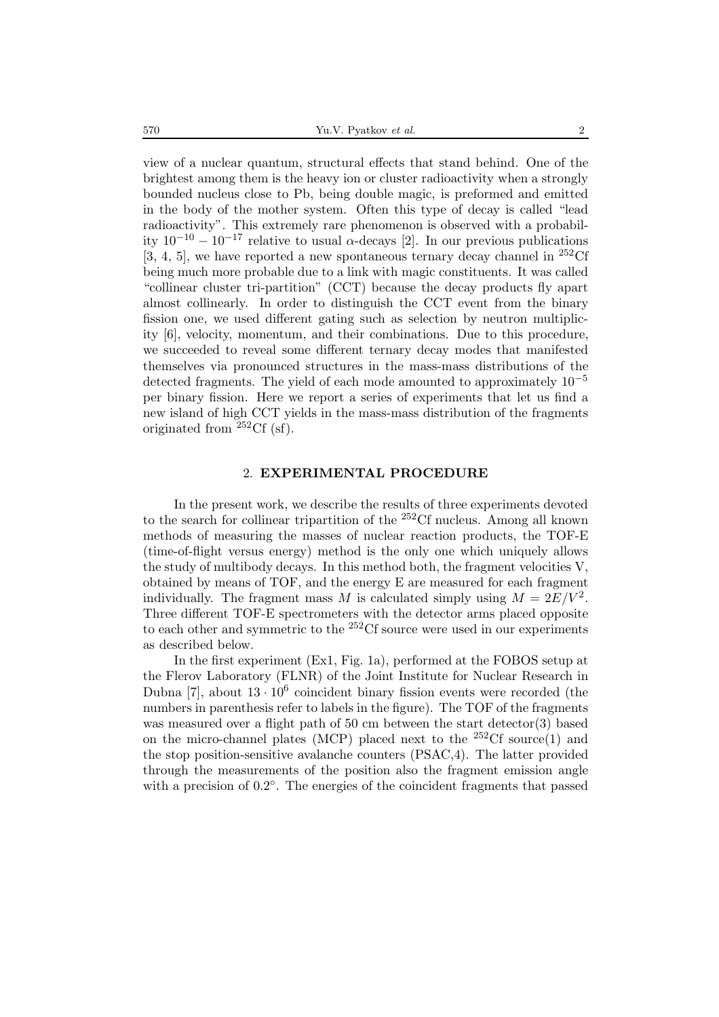view of a nuclear quantum, structural effects that stand behind. One of the brightest among them is the heavy ion or cluster radioactivity when a strongly bounded nucleus close to Pb, being double magic, is preformed and emitted in the body of the mother system. Often this type of decay is called "lead radioactivity". This extremely rare phenomenon is observed with a probability  $10^{-10} - 10^{-17}$  relative to usual  $\alpha$ -decays [2]. In our previous publications  $[3, 4, 5]$ , we have reported a new spontaneous ternary decay channel in <sup>252</sup>Cf being much more probable due to a link with magic constituents. It was called "collinear cluster tri-partition" (CCT) because the decay products fly apart almost collinearly. In order to distinguish the CCT event from the binary fission one, we used different gating such as selection by neutron multiplicity [6], velocity, momentum, and their combinations. Due to this procedure, we succeeded to reveal some different ternary decay modes that manifested themselves via pronounced structures in the mass-mass distributions of the detected fragments. The yield of each mode amounted to approximately  $10^{-5}$ per binary fission. Here we report a series of experiments that let us find a new island of high CCT yields in the mass-mass distribution of the fragments originated from  $^{252}$ Cf (sf).

#### 2. **EXPERIMENTAL PROCEDURE**

In the present work, we describe the results of three experiments devoted to the search for collinear tripartition of the <sup>252</sup>Cf nucleus. Among all known methods of measuring the masses of nuclear reaction products, the TOF-E (time-of-flight versus energy) method is the only one which uniquely allows the study of multibody decays. In this method both, the fragment velocities V, obtained by means of TOF, and the energy E are measured for each fragment individually. The fragment mass M is calculated simply using  $M = 2E/V^2$ . Three different TOF-E spectrometers with the detector arms placed opposite to each other and symmetric to the  $252 \text{Cf}$  source were used in our experiments as described below.

In the first experiment (Ex1, Fig. 1a), performed at the FOBOS setup at the Flerov Laboratory (FLNR) of the Joint Institute for Nuclear Research in Dubna [7], about  $13 \cdot 10^6$  coincident binary fission events were recorded (the numbers in parenthesis refer to labels in the figure). The TOF of the fragments was measured over a flight path of 50 cm between the start detector(3) based on the micro-channel plates (MCP) placed next to the  $^{252}$ Cf source(1) and the stop position-sensitive avalanche counters (PSAC,4). The latter provided through the measurements of the position also the fragment emission angle with a precision of 0.2◦. The energies of the coincident fragments that passed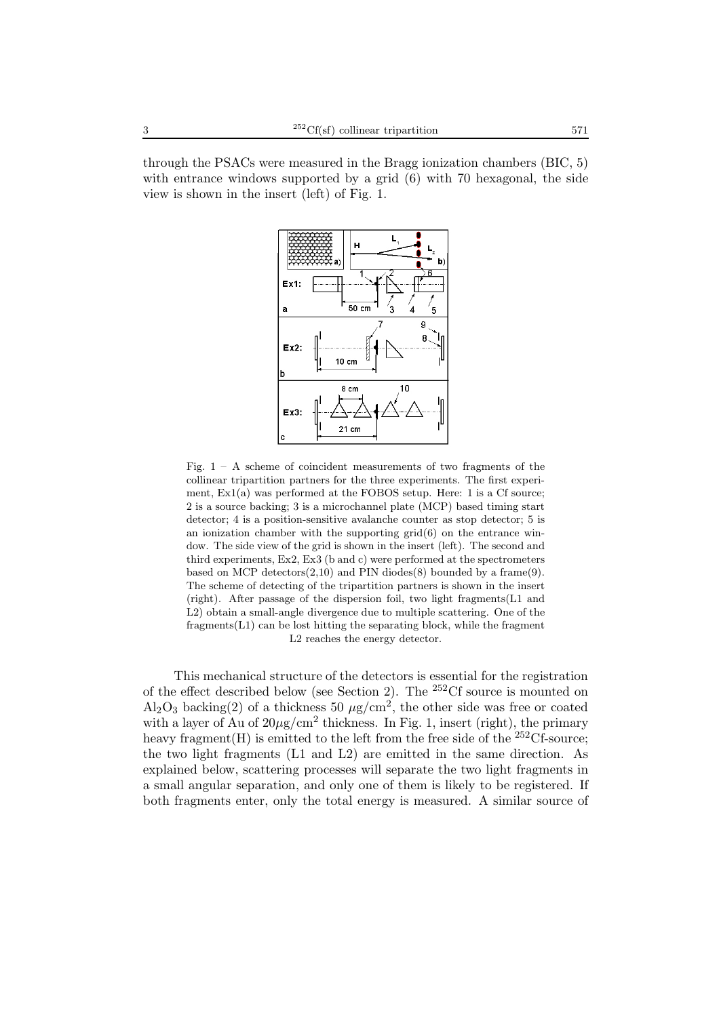through the PSACs were measured in the Bragg ionization chambers (BIC, 5) with entrance windows supported by a grid  $(6)$  with 70 hexagonal, the side view is shown in the insert (left) of Fig. 1.



Fig.  $1 - A$  scheme of coincident measurements of two fragments of the collinear tripartition partners for the three experiments. The first experiment, Ex1(a) was performed at the FOBOS setup. Here: 1 is a Cf source; 2 is a source backing; 3 is a microchannel plate (MCP) based timing start detector; 4 is a position-sensitive avalanche counter as stop detector; 5 is an ionization chamber with the supporting  $grid(6)$  on the entrance window. The side view of the grid is shown in the insert (left). The second and third experiments,  $Ex2$ ,  $Ex3$  (b and c) were performed at the spectrometers based on MCP detectors $(2,10)$  and PIN diodes $(8)$  bounded by a frame $(9)$ . The scheme of detecting of the tripartition partners is shown in the insert (right). After passage of the dispersion foil, two light fragments(L1 and L2) obtain a small-angle divergence due to multiple scattering. One of the fragments(L1) can be lost hitting the separating block, while the fragment L2 reaches the energy detector.

This mechanical structure of the detectors is essential for the registration of the effect described below (see Section 2). The  $252 \text{C}$ f source is mounted on  $\text{Al}_2\text{O}_3$  backing(2) of a thickness 50  $\mu\text{g/cm}^2$ , the other side was free or coated with a layer of Au of  $20\mu$ g/cm<sup>2</sup> thickness. In Fig. 1, insert (right), the primary heavy fragment(H) is emitted to the left from the free side of the  $^{252}$ Cf-source: the two light fragments (L1 and L2) are emitted in the same direction. As explained below, scattering processes will separate the two light fragments in a small angular separation, and only one of them is likely to be registered. If both fragments enter, only the total energy is measured. A similar source of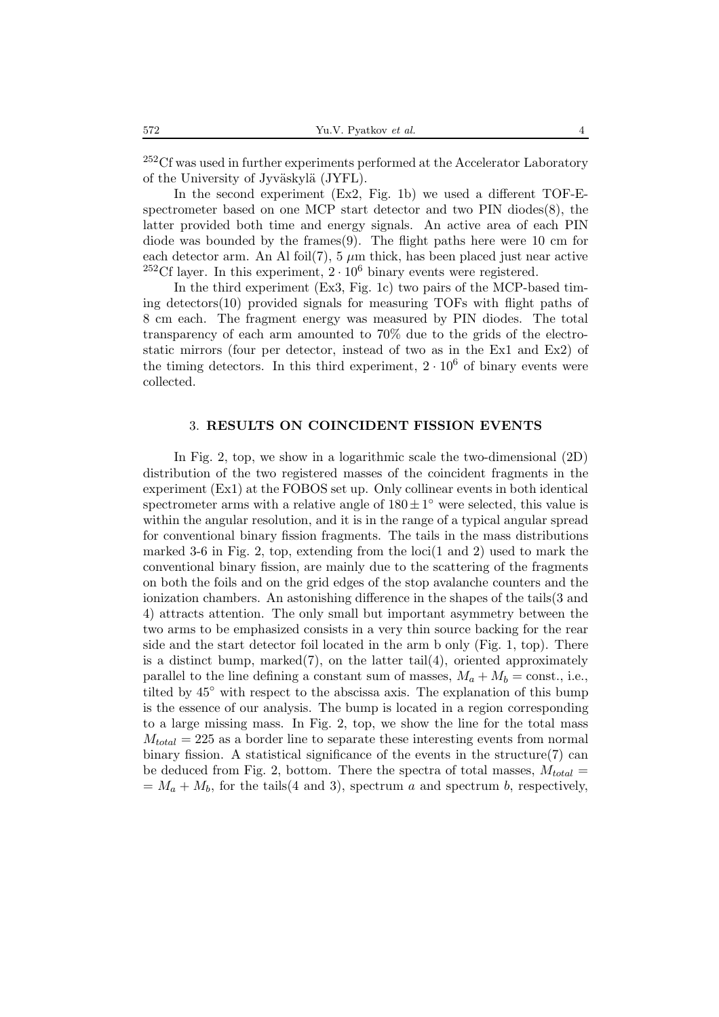<sup>252</sup>Cf was used in further experiments performed at the Accelerator Laboratory of the University of Jyväskylä (JYFL).

In the second experiment (Ex2, Fig. 1b) we used a different TOF-Espectrometer based on one MCP start detector and two  $\text{PIN}$  diodes $(8)$ , the latter provided both time and energy signals. An active area of each PIN diode was bounded by the frames $(9)$ . The flight paths here were 10 cm for each detector arm. An Al foil(7),  $5 \mu m$  thick, has been placed just near active <sup>252</sup>Cf layer. In this experiment,  $2 \cdot 10^6$  binary events were registered.

In the third experiment (Ex3, Fig. 1c) two pairs of the MCP-based timing detectors(10) provided signals for measuring TOFs with flight paths of 8 cm each. The fragment energy was measured by PIN diodes. The total transparency of each arm amounted to 70% due to the grids of the electrostatic mirrors (four per detector, instead of two as in the Ex1 and Ex2) of the timing detectors. In this third experiment,  $2 \cdot 10^6$  of binary events were collected.

#### 3. **RESULTS ON COINCIDENT FISSION EVENTS**

In Fig. 2, top, we show in a logarithmic scale the two-dimensional (2D) distribution of the two registered masses of the coincident fragments in the experiment (Ex1) at the FOBOS set up. Only collinear events in both identical spectrometer arms with a relative angle of  $180 \pm 1^\circ$  were selected, this value is within the angular resolution, and it is in the range of a typical angular spread for conventional binary fission fragments. The tails in the mass distributions marked 3-6 in Fig. 2, top, extending from the  $\text{loc}(1 \text{ and } 2)$  used to mark the conventional binary fission, are mainly due to the scattering of the fragments on both the foils and on the grid edges of the stop avalanche counters and the ionization chambers. An astonishing difference in the shapes of the tails(3 and 4) attracts attention. The only small but important asymmetry between the two arms to be emphasized consists in a very thin source backing for the rear side and the start detector foil located in the arm b only (Fig. 1, top). There is a distinct bump, marked $(7)$ , on the latter tail $(4)$ , oriented approximately parallel to the line defining a constant sum of masses,  $M_a + M_b = \text{const.}$ , i.e., tilted by 45◦ with respect to the abscissa axis. The explanation of this bump is the essence of our analysis. The bump is located in a region corresponding to a large missing mass. In Fig. 2, top, we show the line for the total mass M*total* = 225 as a border line to separate these interesting events from normal binary fission. A statistical significance of the events in the structure(7) can be deduced from Fig. 2, bottom. There the spectra of total masses,  $M_{total}$  =  $M_a + M_b$ , for the tails(4 and 3), spectrum a and spectrum b, respectively,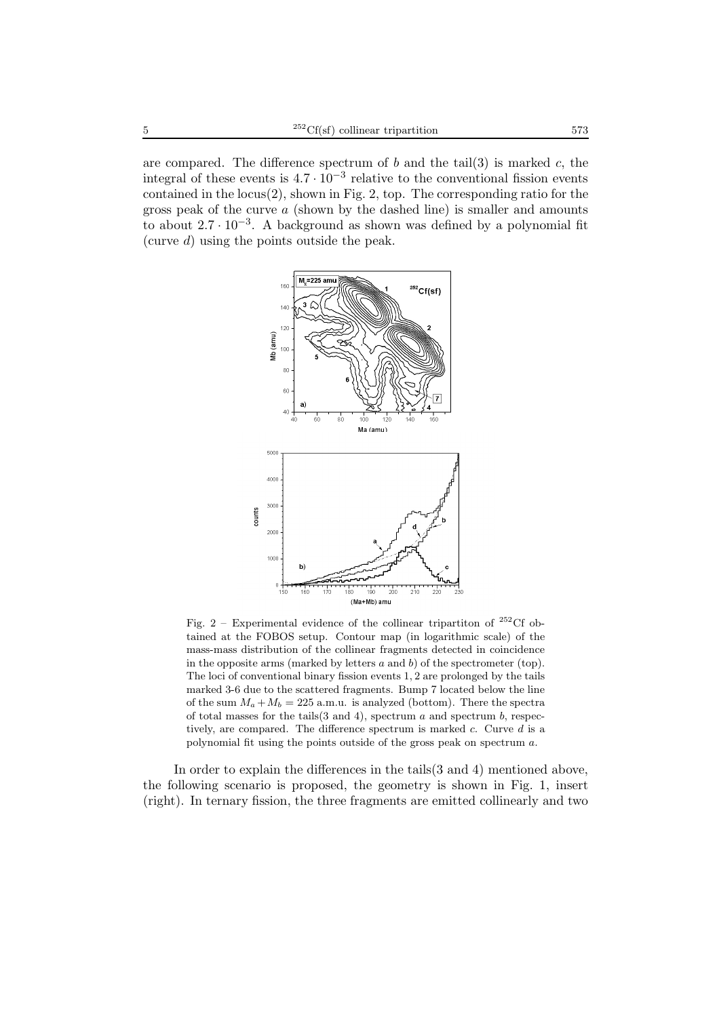are compared. The difference spectrum of  $b$  and the tail(3) is marked  $c$ , the integral of these events is  $4.7 \cdot 10^{-3}$  relative to the conventional fission events contained in the  $locus(2)$ , shown in Fig. 2, top. The corresponding ratio for the gross peak of the curve  $\alpha$  (shown by the dashed line) is smaller and amounts to about  $2.7 \cdot 10^{-3}$ . A background as shown was defined by a polynomial fit (curve d) using the points outside the peak.



Fig. 2 – Experimental evidence of the collinear tripartiton of  $^{252}$ Cf obtained at the FOBOS setup. Contour map (in logarithmic scale) of the mass-mass distribution of the collinear fragments detected in coincidence in the opposite arms (marked by letters  $a$  and  $b$ ) of the spectrometer (top). The loci of conventional binary fission events 1, 2 are prolonged by the tails marked 3-6 due to the scattered fragments. Bump 7 located below the line of the sum  $M_a + M_b = 225$  a.m.u. is analyzed (bottom). There the spectra of total masses for the tails $(3 \text{ and } 4)$ , spectrum a and spectrum b, respectively, are compared. The difference spectrum is marked c. Curve d is a polynomial fit using the points outside of the gross peak on spectrum a.

In order to explain the differences in the tails(3 and 4) mentioned above, the following scenario is proposed, the geometry is shown in Fig. 1, insert (right). In ternary fission, the three fragments are emitted collinearly and two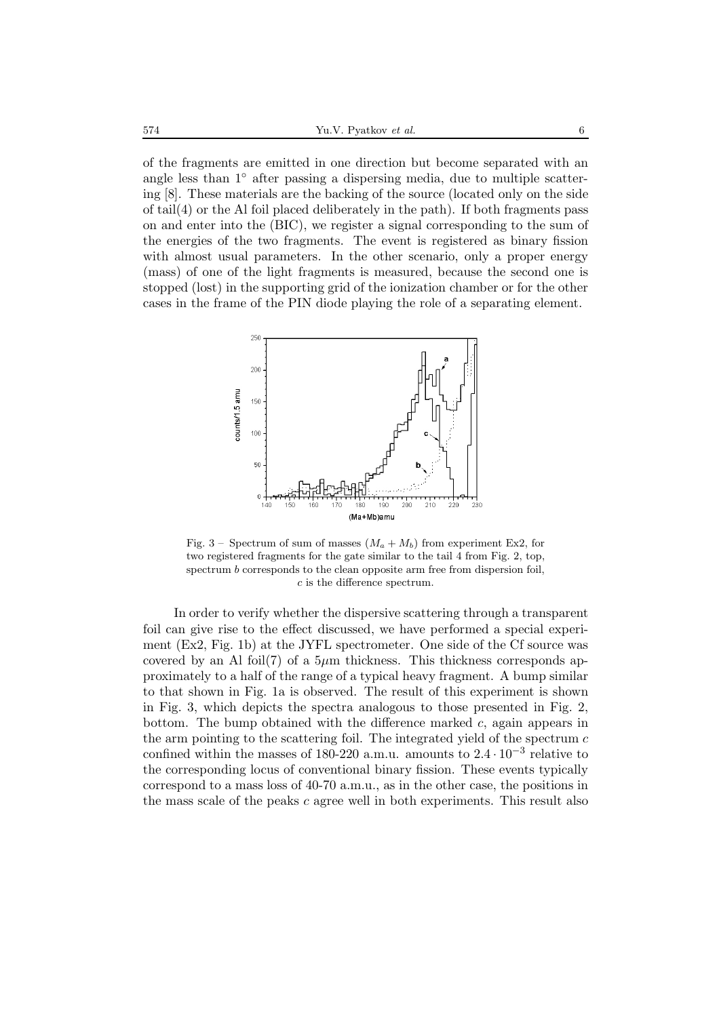of the fragments are emitted in one direction but become separated with an angle less than 1◦ after passing a dispersing media, due to multiple scattering [8]. These materials are the backing of the source (located only on the side of  $tail(4)$  or the Al foil placed deliberately in the path). If both fragments pass on and enter into the (BIC), we register a signal corresponding to the sum of the energies of the two fragments. The event is registered as binary fission with almost usual parameters. In the other scenario, only a proper energy (mass) of one of the light fragments is measured, because the second one is stopped (lost) in the supporting grid of the ionization chamber or for the other cases in the frame of the PIN diode playing the role of a separating element.



Fig. 3 – Spectrum of sum of masses  $(M_a + M_b)$  from experiment Ex2, for two registered fragments for the gate similar to the tail 4 from Fig. 2, top, spectrum b corresponds to the clean opposite arm free from dispersion foil, c is the difference spectrum.

In order to verify whether the dispersive scattering through a transparent foil can give rise to the effect discussed, we have performed a special experiment (Ex2, Fig. 1b) at the JYFL spectrometer. One side of the Cf source was covered by an Al foil(7) of a  $5\mu$ m thickness. This thickness corresponds approximately to a half of the range of a typical heavy fragment. A bump similar to that shown in Fig. 1a is observed. The result of this experiment is shown in Fig. 3, which depicts the spectra analogous to those presented in Fig. 2, bottom. The bump obtained with the difference marked  $c$ , again appears in the arm pointing to the scattering foil. The integrated yield of the spectrum  $c$ confined within the masses of 180-220 a.m.u. amounts to  $2.4 \cdot 10^{-3}$  relative to the corresponding locus of conventional binary fission. These events typically correspond to a mass loss of 40-70 a.m.u., as in the other case, the positions in the mass scale of the peaks  $c$  agree well in both experiments. This result also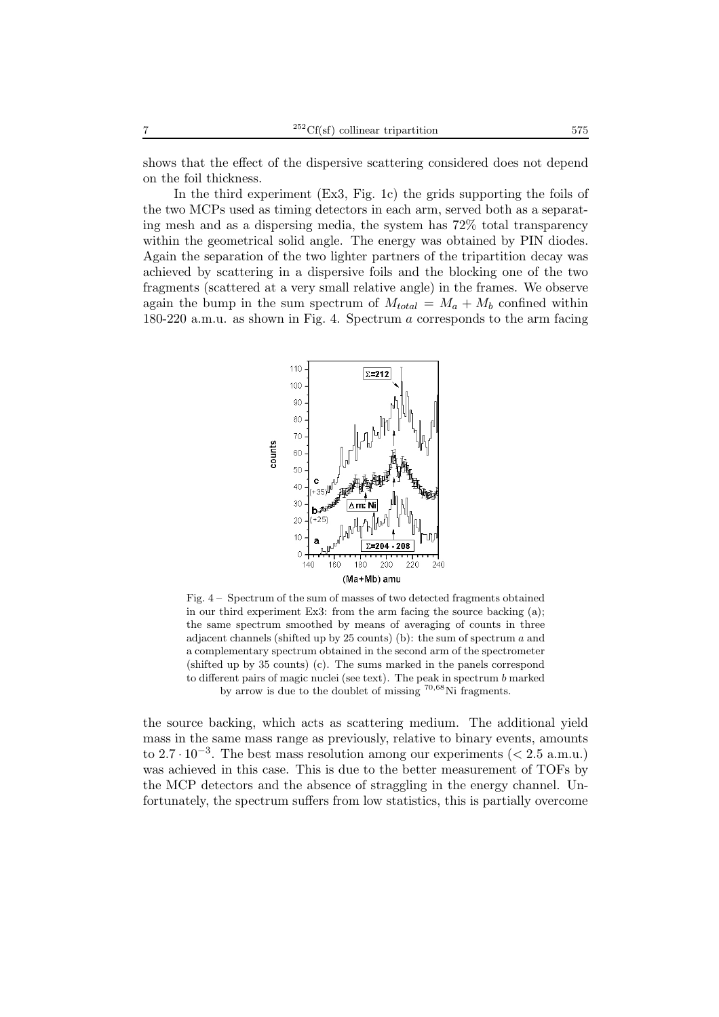shows that the effect of the dispersive scattering considered does not depend on the foil thickness.

In the third experiment (Ex3, Fig. 1c) the grids supporting the foils of the two MCPs used as timing detectors in each arm, served both as a separating mesh and as a dispersing media, the system has 72% total transparency within the geometrical solid angle. The energy was obtained by PIN diodes. Again the separation of the two lighter partners of the tripartition decay was achieved by scattering in a dispersive foils and the blocking one of the two fragments (scattered at a very small relative angle) in the frames. We observe again the bump in the sum spectrum of  $M_{total} = M_a + M_b$  confined within 180-220 a.m.u. as shown in Fig. 4. Spectrum a corresponds to the arm facing



Fig. 4 – Spectrum of the sum of masses of two detected fragments obtained in our third experiment Ex3: from the arm facing the source backing (a); the same spectrum smoothed by means of averaging of counts in three adjacent channels (shifted up by 25 counts) (b): the sum of spectrum a and a complementary spectrum obtained in the second arm of the spectrometer (shifted up by 35 counts) (c). The sums marked in the panels correspond to different pairs of magic nuclei (see text). The peak in spectrum b marked by arrow is due to the doublet of missing <sup>70</sup>*,*<sup>68</sup>Ni fragments.

the source backing, which acts as scattering medium. The additional yield mass in the same mass range as previously, relative to binary events, amounts to  $2.7 \cdot 10^{-3}$ . The best mass resolution among our experiments (< 2.5 a.m.u.) was achieved in this case. This is due to the better measurement of TOFs by the MCP detectors and the absence of straggling in the energy channel. Unfortunately, the spectrum suffers from low statistics, this is partially overcome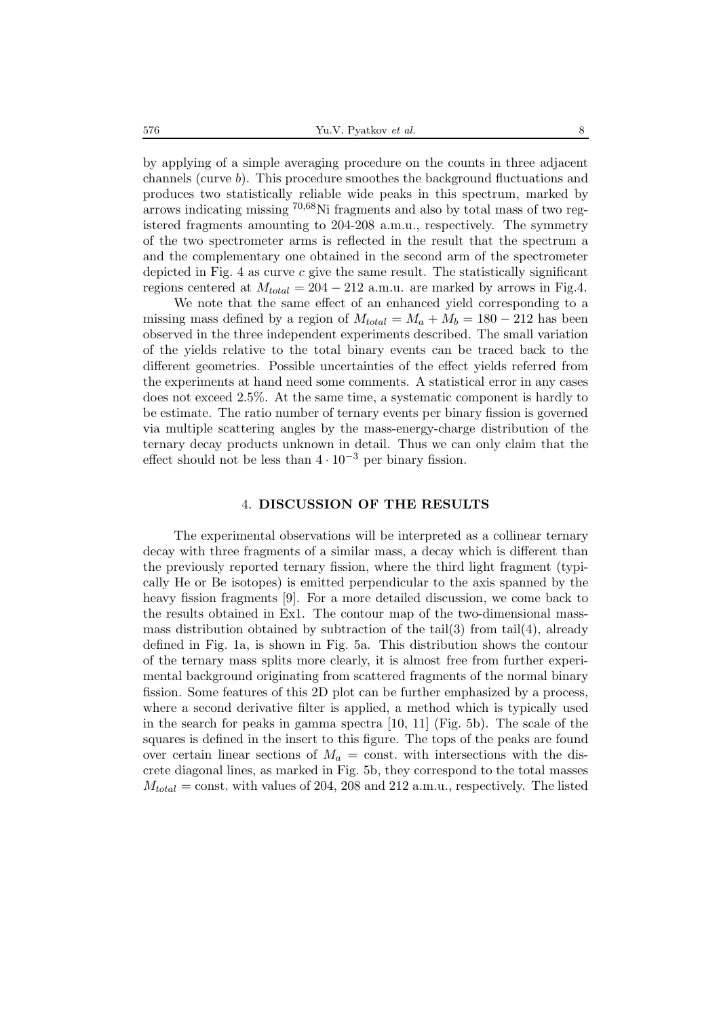by applying of a simple averaging procedure on the counts in three adjacent channels (curve b). This procedure smoothes the background fluctuations and produces two statistically reliable wide peaks in this spectrum, marked by arrows indicating missing <sup>70</sup>*,*68Ni fragments and also by total mass of two registered fragments amounting to 204-208 a.m.u., respectively. The symmetry of the two spectrometer arms is reflected in the result that the spectrum a and the complementary one obtained in the second arm of the spectrometer depicted in Fig. 4 as curve  $c$  give the same result. The statistically significant regions centered at  $M_{total} = 204 - 212$  a.m.u. are marked by arrows in Fig.4.

We note that the same effect of an enhanced yield corresponding to a missing mass defined by a region of  $M_{total} = M_a + M_b = 180 - 212$  has been observed in the three independent experiments described. The small variation of the yields relative to the total binary events can be traced back to the different geometries. Possible uncertainties of the effect yields referred from the experiments at hand need some comments. A statistical error in any cases does not exceed 2.5%. At the same time, a systematic component is hardly to be estimate. The ratio number of ternary events per binary fission is governed via multiple scattering angles by the mass-energy-charge distribution of the ternary decay products unknown in detail. Thus we can only claim that the effect should not be less than  $4 \cdot 10^{-3}$  per binary fission.

#### 4. **DISCUSSION OF THE RESULTS**

The experimental observations will be interpreted as a collinear ternary decay with three fragments of a similar mass, a decay which is different than the previously reported ternary fission, where the third light fragment (typically He or Be isotopes) is emitted perpendicular to the axis spanned by the heavy fission fragments [9]. For a more detailed discussion, we come back to the results obtained in Ex1. The contour map of the two-dimensional massmass distribution obtained by subtraction of the tail(3) from tail(4), already defined in Fig. 1a, is shown in Fig. 5a. This distribution shows the contour of the ternary mass splits more clearly, it is almost free from further experimental background originating from scattered fragments of the normal binary fission. Some features of this 2D plot can be further emphasized by a process, where a second derivative filter is applied, a method which is typically used in the search for peaks in gamma spectra [10, 11] (Fig. 5b). The scale of the squares is defined in the insert to this figure. The tops of the peaks are found over certain linear sections of  $M_a = \text{const.}$  with intersections with the discrete diagonal lines, as marked in Fig. 5b, they correspond to the total masses  $M_{total} = \text{const.}$  with values of 204, 208 and 212 a.m.u., respectively. The listed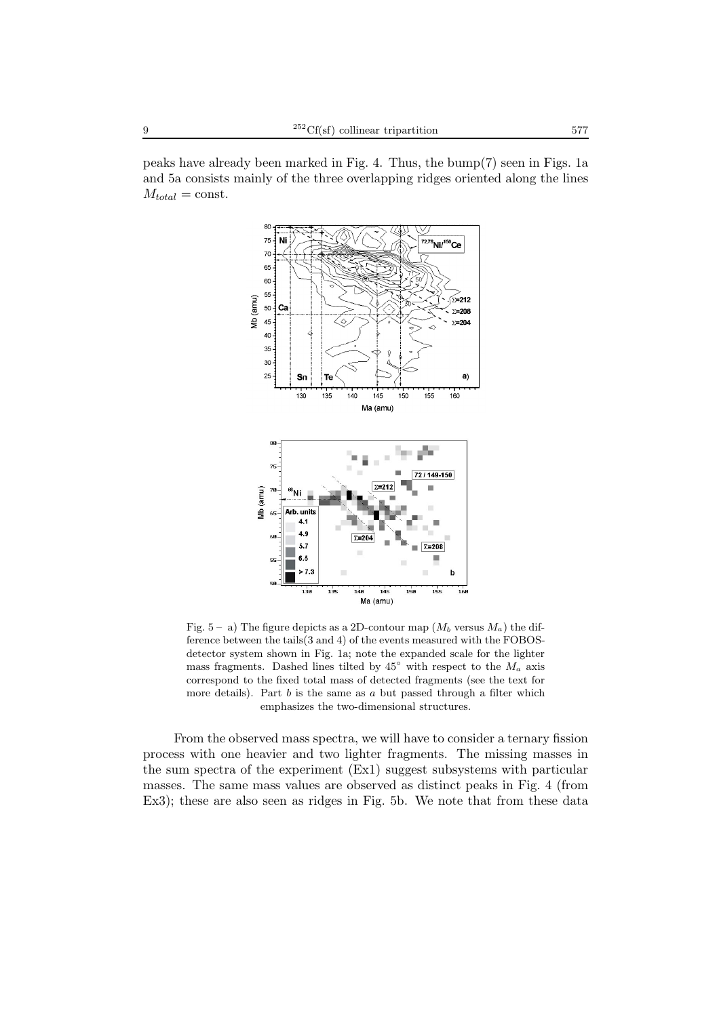peaks have already been marked in Fig. 4. Thus, the bump(7) seen in Figs. 1a and 5a consists mainly of the three overlapping ridges oriented along the lines  $M_{total} = \text{const.}$ 



Fig.  $5 - a$ ) The figure depicts as a 2D-contour map  $(M_b$  versus  $M_a$ ) the difference between the tails(3 and 4) of the events measured with the FOBOSdetector system shown in Fig. 1a; note the expanded scale for the lighter mass fragments. Dashed lines tilted by  $45°$  with respect to the  $M_a$  axis correspond to the fixed total mass of detected fragments (see the text for more details). Part  $b$  is the same as  $a$  but passed through a filter which emphasizes the two-dimensional structures.

From the observed mass spectra, we will have to consider a ternary fission process with one heavier and two lighter fragments. The missing masses in the sum spectra of the experiment (Ex1) suggest subsystems with particular masses. The same mass values are observed as distinct peaks in Fig. 4 (from Ex3); these are also seen as ridges in Fig. 5b. We note that from these data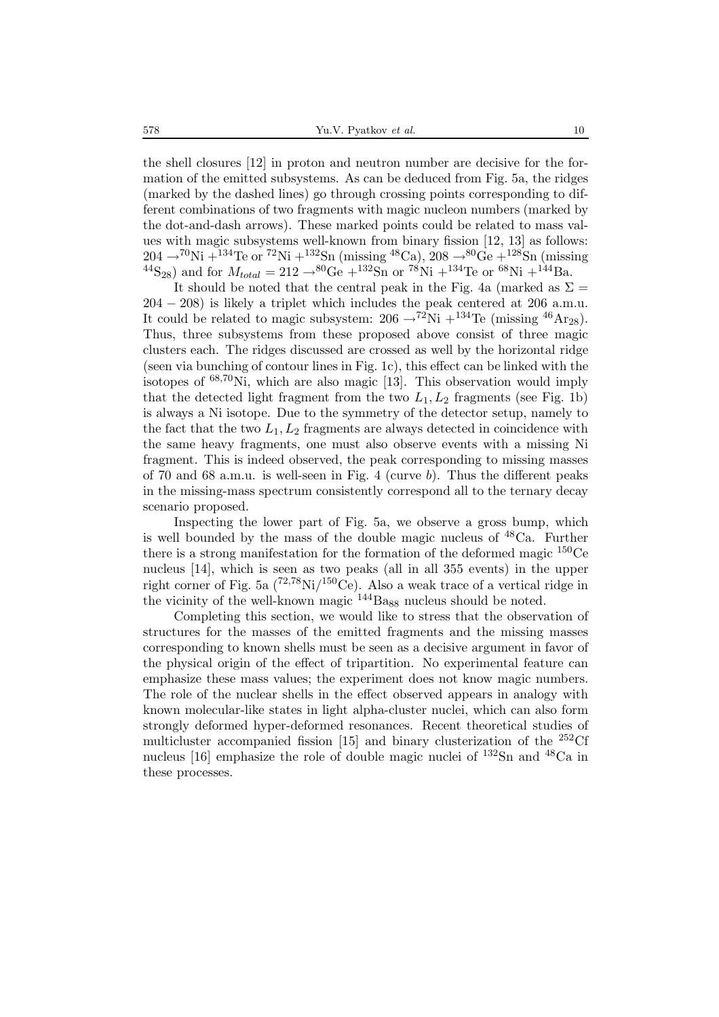the shell closures [12] in proton and neutron number are decisive for the formation of the emitted subsystems. As can be deduced from Fig. 5a, the ridges (marked by the dashed lines) go through crossing points corresponding to different combinations of two fragments with magic nucleon numbers (marked by the dot-and-dash arrows). These marked points could be related to mass values with magic subsystems well-known from binary fission [12, 13] as follows:  $204 \rightarrow ^{70}\text{Ni} + ^{134}\text{Te}$  or  $^{72}\text{Ni} + ^{132}\text{Sn}$  (missing  $^{48}\text{Ca}$ ),  $208 \rightarrow ^{80}\text{Ge} + ^{128}\text{Sn}$  (missing  $^{44}S_{28}$  and for  $M_{total} = 212 \rightarrow ^{80}Ge + ^{132}Sn$  or  $^{78}Ni + ^{134}Te$  or  $^{68}Ni + ^{144}Ba$ .

It should be noted that the central peak in the Fig. 4a (marked as  $\Sigma =$ 204 − 208) is likely a triplet which includes the peak centered at 206 a.m.u. It could be related to magic subsystem:  $206 \rightarrow ^{72}\text{Ni} + ^{134}\text{Te}$  (missing  $^{46}\text{Ar}_{28}$ ). Thus, three subsystems from these proposed above consist of three magic clusters each. The ridges discussed are crossed as well by the horizontal ridge (seen via bunching of contour lines in Fig. 1c), this effect can be linked with the isotopes of <sup>68</sup>*,*70Ni, which are also magic [13]. This observation would imply that the detected light fragment from the two  $L_1, L_2$  fragments (see Fig. 1b) is always a Ni isotope. Due to the symmetry of the detector setup, namely to the fact that the two  $L_1, L_2$  fragments are always detected in coincidence with the same heavy fragments, one must also observe events with a missing Ni fragment. This is indeed observed, the peak corresponding to missing masses of 70 and 68 a.m.u. is well-seen in Fig. 4 (curve b). Thus the different peaks in the missing-mass spectrum consistently correspond all to the ternary decay scenario proposed.

Inspecting the lower part of Fig. 5a, we observe a gross bump, which is well bounded by the mass of the double magic nucleus of  $^{48}Ca$ . Further there is a strong manifestation for the formation of the deformed magic  $150Ce$ nucleus [14], which is seen as two peaks (all in all 355 events) in the upper right corner of Fig. 5a (72*,*78Ni/150Ce). Also a weak trace of a vertical ridge in the vicinity of the well-known magic  $^{144}$ Ba<sub>88</sub> nucleus should be noted.

Completing this section, we would like to stress that the observation of structures for the masses of the emitted fragments and the missing masses corresponding to known shells must be seen as a decisive argument in favor of the physical origin of the effect of tripartition. No experimental feature can emphasize these mass values; the experiment does not know magic numbers. The role of the nuclear shells in the effect observed appears in analogy with known molecular-like states in light alpha-cluster nuclei, which can also form strongly deformed hyper-deformed resonances. Recent theoretical studies of multicluster accompanied fission [15] and binary clusterization of the  $252 \text{C}$ f nucleus [16] emphasize the role of double magic nuclei of <sup>132</sup>Sn and <sup>48</sup>Ca in these processes.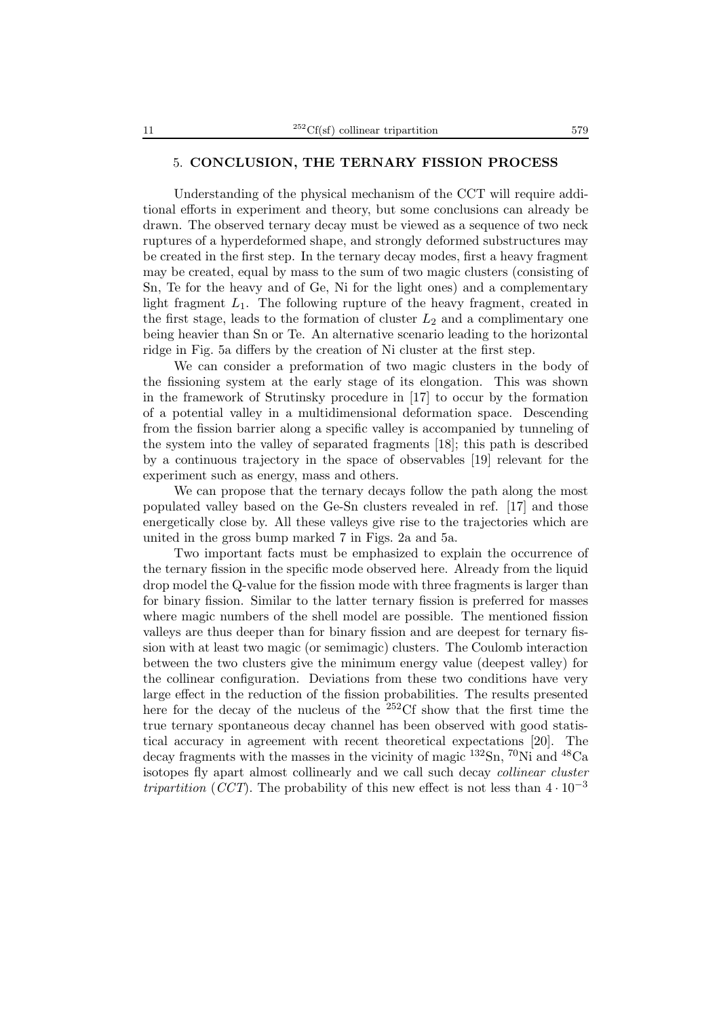## 5. **CONCLUSION, THE TERNARY FISSION PROCESS**

Understanding of the physical mechanism of the CCT will require additional efforts in experiment and theory, but some conclusions can already be drawn. The observed ternary decay must be viewed as a sequence of two neck ruptures of a hyperdeformed shape, and strongly deformed substructures may be created in the first step. In the ternary decay modes, first a heavy fragment may be created, equal by mass to the sum of two magic clusters (consisting of Sn, Te for the heavy and of Ge, Ni for the light ones) and a complementary light fragment  $L_1$ . The following rupture of the heavy fragment, created in the first stage, leads to the formation of cluster  $L_2$  and a complimentary one being heavier than Sn or Te. An alternative scenario leading to the horizontal ridge in Fig. 5a differs by the creation of Ni cluster at the first step.

We can consider a preformation of two magic clusters in the body of the fissioning system at the early stage of its elongation. This was shown in the framework of Strutinsky procedure in [17] to occur by the formation of a potential valley in a multidimensional deformation space. Descending from the fission barrier along a specific valley is accompanied by tunneling of the system into the valley of separated fragments [18]; this path is described by a continuous trajectory in the space of observables [19] relevant for the experiment such as energy, mass and others.

We can propose that the ternary decays follow the path along the most populated valley based on the Ge-Sn clusters revealed in ref. [17] and those energetically close by. All these valleys give rise to the trajectories which are united in the gross bump marked 7 in Figs. 2a and 5a.

Two important facts must be emphasized to explain the occurrence of the ternary fission in the specific mode observed here. Already from the liquid drop model the Q-value for the fission mode with three fragments is larger than for binary fission. Similar to the latter ternary fission is preferred for masses where magic numbers of the shell model are possible. The mentioned fission valleys are thus deeper than for binary fission and are deepest for ternary fission with at least two magic (or semimagic) clusters. The Coulomb interaction between the two clusters give the minimum energy value (deepest valley) for the collinear configuration. Deviations from these two conditions have very large effect in the reduction of the fission probabilities. The results presented here for the decay of the nucleus of the <sup>252</sup>Cf show that the first time the true ternary spontaneous decay channel has been observed with good statistical accuracy in agreement with recent theoretical expectations [20]. The decay fragments with the masses in the vicinity of magic  $^{132}Sn$ ,  $^{70}Ni$  and  $^{48}Ca$ isotopes fly apart almost collinearly and we call such decay *collinear cluster tripartition* (*CCT*). The probability of this new effect is not less than  $4 \cdot 10^{-3}$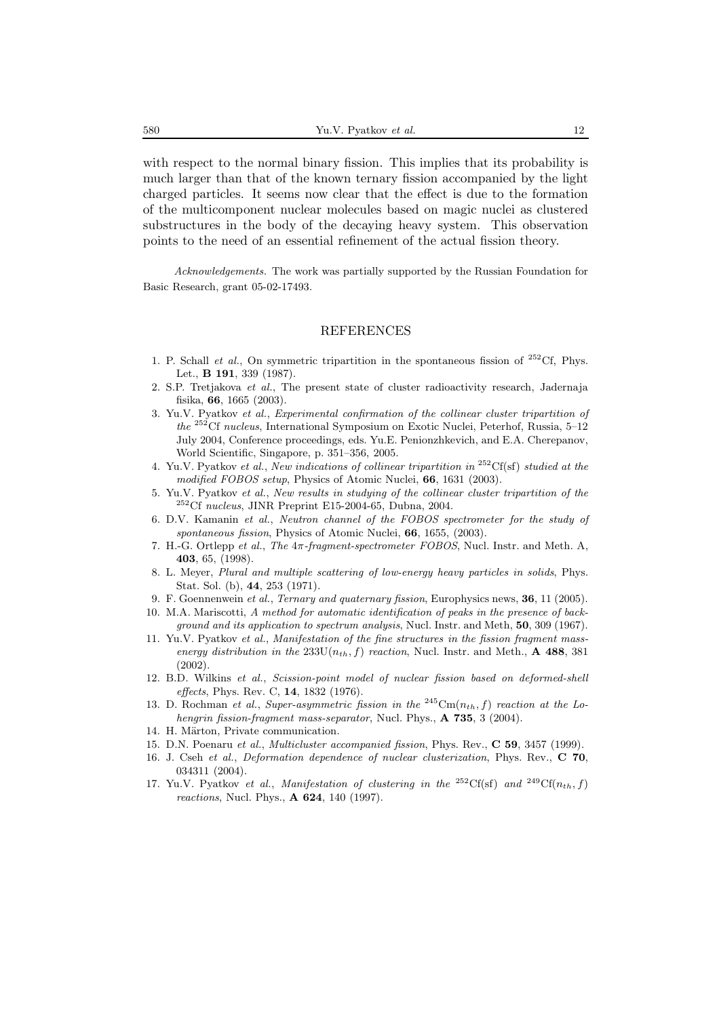with respect to the normal binary fission. This implies that its probability is much larger than that of the known ternary fission accompanied by the light charged particles. It seems now clear that the effect is due to the formation of the multicomponent nuclear molecules based on magic nuclei as clustered substructures in the body of the decaying heavy system. This observation points to the need of an essential refinement of the actual fission theory.

Acknowledgements. The work was partially supported by the Russian Foundation for Basic Research, grant 05-02-17493.

#### REFERENCES

- 1. P. Schall *et al.*, On symmetric tripartition in the spontaneous fission of  $^{252}$ Cf, Phys. Let., **B 191**, 339 (1987).
- 2. S.P. Tretjakova et al., The present state of cluster radioactivity research, Jadernaja fisika, **66**, 1665 (2003).
- 3. Yu.V. Pyatkov et al., Experimental confirmation of the collinear cluster tripartition of  $the$   $^{252}\mathrm{Cf}$   $nucleus,$  International Symposium on Exotic Nuclei, Peterhof, Russia, 5–12 July 2004, Conference proceedings, eds. Yu.E. Penionzhkevich, and E.A. Cherepanov, World Scientific, Singapore, p. 351–356, 2005.
- 4. Yu.V. Pyatkov et al., New indications of collinear tripartition in <sup>252</sup>Cf(sf) studied at the modified FOBOS setup, Physics of Atomic Nuclei, **66**, 1631 (2003).
- 5. Yu.V. Pyatkov et al., New results in studying of the collinear cluster tripartition of the  $252Cf$  nucleus, JINR Preprint E15-2004-65, Dubna, 2004.
- 6. D.V. Kamanin et al., Neutron channel of the FOBOS spectrometer for the study of spontaneous fission, Physics of Atomic Nuclei, **66**, 1655, (2003).
- 7. H.-G. Ortlepp et al., The 4π-fragment-spectrometer FOBOS, Nucl. Instr. and Meth. A, **403**, 65, (1998).
- 8. L. Meyer, Plural and multiple scattering of low-energy heavy particles in solids, Phys. Stat. Sol. (b), **44**, 253 (1971).
- 9. F. Goennenwein et al., Ternary and quaternary fission, Europhysics news, **36**, 11 (2005).
- 10. M.A. Mariscotti, A method for automatic identification of peaks in the presence of background and its application to spectrum analysis, Nucl. Instr. and Meth, **50**, 309 (1967).
- 11. Yu.V. Pyatkov et al., Manifestation of the fine structures in the fission fragment massenergy distribution in the 233U(n*th*, f) reaction, Nucl. Instr. and Meth., **A 488**, 381 (2002).
- 12. B.D. Wilkins et al., Scission-point model of nuclear fission based on deformed-shell effects, Phys. Rev. C, **14**, 1832 (1976).
- 13. D. Rochman et al., Super-asymmetric fission in the <sup>245</sup>Cm( $n_{th}$ , f) reaction at the Lohengrin fission-fragment mass-separator, Nucl. Phys., **A 735**, 3 (2004).
- 14. H. Märton, Private communication.
- 15. D.N. Poenaru et al., Multicluster accompanied fission, Phys. Rev., **C 59**, 3457 (1999).
- 16. J. Cseh et al., Deformation dependence of nuclear clusterization, Phys. Rev., **C 70**, 034311 (2004).
- 17. Yu.V. Pyatkov et al., Manifestation of clustering in the <sup>252</sup>Cf(sf) and <sup>249</sup>Cf(n<sub>th</sub>, f) reactions, Nucl. Phys., **A 624**, 140 (1997).